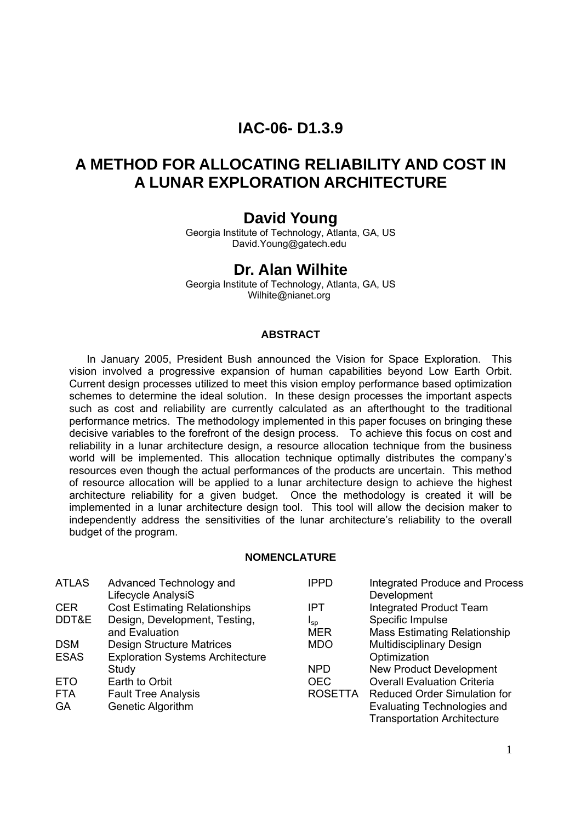## **IAC-06- D1.3.9**

# **A METHOD FOR ALLOCATING RELIABILITY AND COST IN A LUNAR EXPLORATION ARCHITECTURE**

## **David Young**

Georgia Institute of Technology, Atlanta, GA, US [David.Young@gatech.edu](mailto:David.Young@gatech.edu) 

## **Dr. Alan Wilhite**

Georgia Institute of Technology, Atlanta, GA, US Wilhite@nianet.org

#### **ABSTRACT**

In January 2005, President Bush announced the Vision for Space Exploration. This vision involved a progressive expansion of human capabilities beyond Low Earth Orbit. Current design processes utilized to meet this vision employ performance based optimization schemes to determine the ideal solution. In these design processes the important aspects such as cost and reliability are currently calculated as an afterthought to the traditional performance metrics. The methodology implemented in this paper focuses on bringing these decisive variables to the forefront of the design process. To achieve this focus on cost and reliability in a lunar architecture design, a resource allocation technique from the business world will be implemented. This allocation technique optimally distributes the company's resources even though the actual performances of the products are uncertain. This method of resource allocation will be applied to a lunar architecture design to achieve the highest architecture reliability for a given budget. Once the methodology is created it will be implemented in a lunar architecture design tool. This tool will allow the decision maker to independently address the sensitivities of the lunar architecture's reliability to the overall budget of the program.

#### **NOMENCLATURE**

| <b>ATLAS</b> | Advanced Technology and                 | <b>IPPD</b>    | <b>Integrated Produce and Process</b> |
|--------------|-----------------------------------------|----------------|---------------------------------------|
|              | Lifecycle AnalysiS                      |                | Development                           |
| <b>CER</b>   | <b>Cost Estimating Relationships</b>    | IPT            | <b>Integrated Product Team</b>        |
| DDT&E        | Design, Development, Testing,           | $I_{SD}$       | Specific Impulse                      |
|              | and Evaluation                          | MER            | <b>Mass Estimating Relationship</b>   |
| <b>DSM</b>   | <b>Design Structure Matrices</b>        | <b>MDO</b>     | <b>Multidisciplinary Design</b>       |
| <b>ESAS</b>  | <b>Exploration Systems Architecture</b> |                | Optimization                          |
|              | Study                                   | <b>NPD</b>     | <b>New Product Development</b>        |
| <b>ETO</b>   | Earth to Orbit                          | <b>OEC</b>     | <b>Overall Evaluation Criteria</b>    |
| <b>FTA</b>   | <b>Fault Tree Analysis</b>              | <b>ROSETTA</b> | <b>Reduced Order Simulation for</b>   |
| <b>GA</b>    | Genetic Algorithm                       |                | Evaluating Technologies and           |
|              |                                         |                | <b>Transportation Architecture</b>    |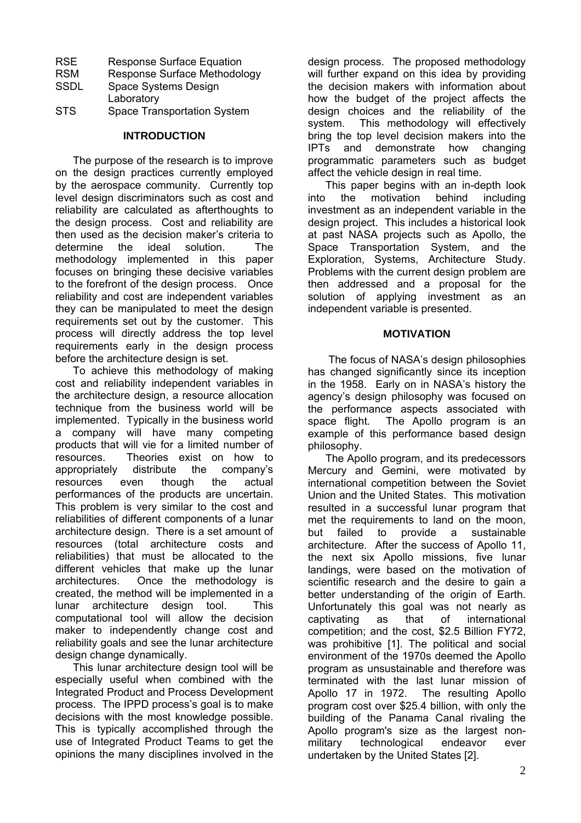| <b>RSE</b>  | <b>Response Surface Equation</b>    |
|-------------|-------------------------------------|
| <b>RSM</b>  | <b>Response Surface Methodology</b> |
| <b>SSDL</b> | Space Systems Design                |
|             | Laboratory                          |

STS Space Transportation System

## **INTRODUCTION**

The purpose of the research is to improve on the design practices currently employed by the aerospace community. Currently top level design discriminators such as cost and reliability are calculated as afterthoughts to the design process. Cost and reliability are then used as the decision maker's criteria to determine the ideal solution. The methodology implemented in this paper focuses on bringing these decisive variables to the forefront of the design process. Once reliability and cost are independent variables they can be manipulated to meet the design requirements set out by the customer. This process will directly address the top level requirements early in the design process before the architecture design is set.

To achieve this methodology of making cost and reliability independent variables in the architecture design, a resource allocation technique from the business world will be implemented. Typically in the business world a company will have many competing products that will vie for a limited number of resources. Theories exist on how to appropriately distribute the company's resources even though the actual performances of the products are uncertain. This problem is very similar to the cost and reliabilities of different components of a lunar architecture design. There is a set amount of resources (total architecture costs and reliabilities) that must be allocated to the different vehicles that make up the lunar architectures. Once the methodology is created, the method will be implemented in a lunar architecture design tool. This computational tool will allow the decision maker to independently change cost and reliability goals and see the lunar architecture design change dynamically.

This lunar architecture design tool will be especially useful when combined with the Integrated Product and Process Development process. The IPPD process's goal is to make decisions with the most knowledge possible. This is typically accomplished through the use of Integrated Product Teams to get the opinions the many disciplines involved in the

design process. The proposed methodology will further expand on this idea by providing the decision makers with information about how the budget of the project affects the design choices and the reliability of the system. This methodology will effectively bring the top level decision makers into the IPTs and demonstrate how changing programmatic parameters such as budget affect the vehicle design in real time.

This paper begins with an in-depth look into the motivation behind including investment as an independent variable in the design project. This includes a historical look at past NASA projects such as Apollo, the Space Transportation System, and the Exploration, Systems, Architecture Study. Problems with the current design problem are then addressed and a proposal for the solution of applying investment as an independent variable is presented.

## **MOTIVATION**

 The focus of NASA's design philosophies has changed significantly since its inception in the 1958. Early on in NASA's history the agency's design philosophy was focused on the performance aspects associated with space flight. The Apollo program is an example of this performance based design philosophy.

The Apollo program, and its predecessors Mercury and Gemini, were motivated by international competition between the Soviet Union and the United States. This motivation resulted in a successful lunar program that met the requirements to land on the moon. but failed to provide a sustainable architecture. After the success of Apollo 11, the next six Apollo missions, five lunar landings, were based on the motivation of scientific research and the desire to gain a better understanding of the origin of Earth. Unfortunately this goal was not nearly as captivating as that of international competition; and the cost, \$2.5 Billion FY72, was prohibitive [\[1\]](#page-9-0). The political and social environment of the 1970s deemed the Apollo program as unsustainable and therefore was terminated with the last lunar mission of Apollo 17 in 1972. The resulting Apollo program cost over \$25.4 billion, with only the building of the Panama Canal rivaling the Apollo program's size as the largest nonmilitary technological endeavor ever undertaken by the United States [[2\]](#page-9-1).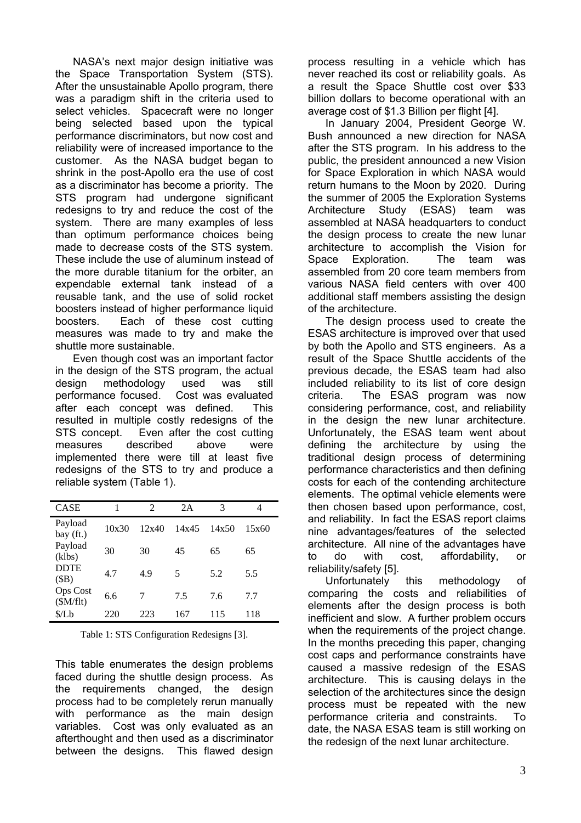NASA's next major design initiative was the Space Transportation System (STS). After the unsustainable Apollo program, there was a paradigm shift in the criteria used to select vehicles. Spacecraft were no longer being selected based upon the typical performance discriminators, but now cost and reliability were of increased importance to the customer. As the NASA budget began to shrink in the post-Apollo era the use of cost as a discriminator has become a priority. The STS program had undergone significant redesigns to try and reduce the cost of the system. There are many examples of less than optimum performance choices being made to decrease costs of the STS system. These include the use of aluminum instead of the more durable titanium for the orbiter, an expendable external tank instead of a reusable tank, and the use of solid rocket boosters instead of higher performance liquid boosters. Each of these cost cutting measures was made to try and make the shuttle more sustainable.

Even though cost was an important factor in the design of the STS program, the actual design methodology used was still performance focused. Cost was evaluated after each concept was defined. This resulted in multiple costly redesigns of the STS concept. Even after the cost cutting measures described above were implemented there were till at least five redesigns of the STS to try and produce a reliable system (Table 1).

| <b>CASE</b>                 | 1     | $\mathfrak{D}$ | 2A    | 3     | 4     |
|-----------------------------|-------|----------------|-------|-------|-------|
| Payload<br>bay (ft.)        | 10x30 | 12x40          | 14x45 | 14x50 | 15x60 |
| Payload<br>(klbs)           | 30    | 30             | 45    | 65    | 65    |
| <b>DDTE</b><br>(SB)         | 4.7   | 4.9            | 5     | 5.2   | 5.5   |
| <b>Ops Cost</b><br>(SM/flt) | 6.6   | 7              | 7.5   | 7.6   | 77    |
| \$/Lb                       | 220   | 223            | 167   | 115   | 118   |

Table 1: STS Configuration Redesigns [[3\]](#page-9-2).

This table enumerates the design problems faced during the shuttle design process. As the requirements changed, the design process had to be completely rerun manually with performance as the main design variables. Cost was only evaluated as an afterthought and then used as a discriminator between the designs. This flawed design

process resulting in a vehicle which has never reached its cost or reliability goals. As a result the Space Shuttle cost over \$33 billion dollars to become operational with an average cost of \$1.3 Billion per flight [[4\]](#page-9-3).

In January 2004, President George W. Bush announced a new direction for NASA after the STS program. In his address to the public, the president announced a new Vision for Space Exploration in which NASA would return humans to the Moon by 2020. During the summer of 2005 the Exploration Systems Architecture Study (ESAS) team was assembled at NASA headquarters to conduct the design process to create the new lunar architecture to accomplish the Vision for Space Exploration. The team was assembled from 20 core team members from various NASA field centers with over 400 additional staff members assisting the design of the architecture.

The design process used to create the ESAS architecture is improved over that used by both the Apollo and STS engineers. As a result of the Space Shuttle accidents of the previous decade, the ESAS team had also included reliability to its list of core design criteria. The ESAS program was now considering performance, cost, and reliability in the design the new lunar architecture. Unfortunately, the ESAS team went about defining the architecture by using the traditional design process of determining performance characteristics and then defining costs for each of the contending architecture elements. The optimal vehicle elements were then chosen based upon performance, cost, and reliability. In fact the ESAS report claims nine advantages/features of the selected architecture. All nine of the advantages have to do with cost, affordability, or reliability/safety [\[5\]](#page-9-4).

Unfortunately this methodology of comparing the costs and reliabilities of elements after the design process is both inefficient and slow. A further problem occurs when the requirements of the project change. In the months preceding this paper, changing cost caps and performance constraints have caused a massive redesign of the ESAS architecture. This is causing delays in the selection of the architectures since the design process must be repeated with the new performance criteria and constraints. To date, the NASA ESAS team is still working on the redesign of the next lunar architecture.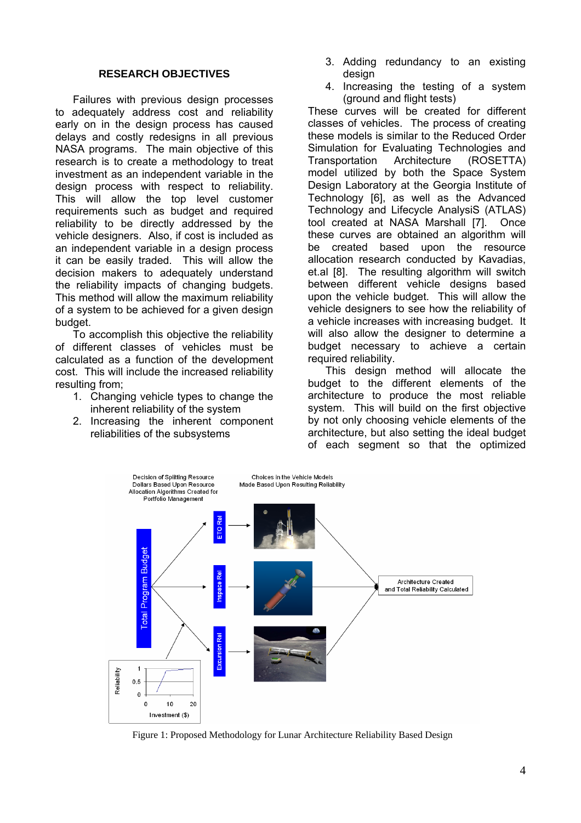#### **RESEARCH OBJECTIVES**

Failures with previous design processes to adequately address cost and reliability early on in the design process has caused delays and costly redesigns in all previous NASA programs. The main objective of this research is to create a methodology to treat investment as an independent variable in the design process with respect to reliability. This will allow the top level customer requirements such as budget and required reliability to be directly addressed by the vehicle designers. Also, if cost is included as an independent variable in a design process it can be easily traded. This will allow the decision makers to adequately understand the reliability impacts of changing budgets. This method will allow the maximum reliability of a system to be achieved for a given design budget.

To accomplish this objective the reliability of different classes of vehicles must be calculated as a function of the development cost. This will include the increased reliability resulting from;

- 1. Changing vehicle types to change the inherent reliability of the system
- 2. Increasing the inherent component reliabilities of the subsystems
- 3. Adding redundancy to an existing design
- 4. Increasing the testing of a system (ground and flight tests)

These curves will be created for different classes of vehicles. The process of creating these models is similar to the Reduced Order Simulation for Evaluating Technologies and Transportation Architecture (ROSETTA) model utilized by both the Space System Design Laboratory at the Georgia Institute of Technology [[6\]](#page-9-5), as well as the Advanced Technology and Lifecycle AnalysiS (ATLAS) tool created at NASA Marshall [[7\]](#page-9-6). Once these curves are obtained an algorithm will be created based upon the resource allocation research conducted by Kavadias, et.al [\[8\]](#page-9-7). The resulting algorithm will switch between different vehicle designs based upon the vehicle budget. This will allow the vehicle designers to see how the reliability of a vehicle increases with increasing budget. It will also allow the designer to determine a budget necessary to achieve a certain required reliability.

This design method will allocate the budget to the different elements of the architecture to produce the most reliable system. This will build on the first objective by not only choosing vehicle elements of the architecture, but also setting the ideal budget of each segment so that the optimized



Figure 1: Proposed Methodology for Lunar Architecture Reliability Based Design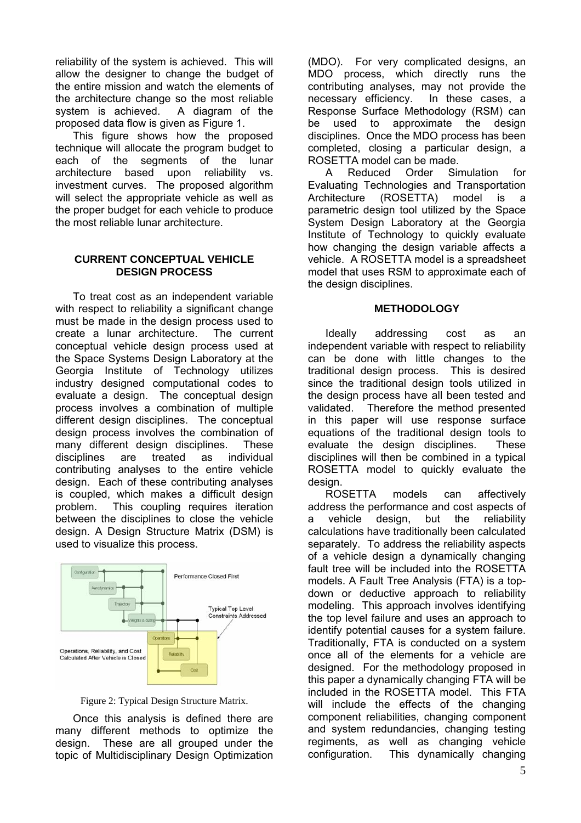reliability of the system is achieved. This will allow the designer to change the budget of the entire mission and watch the elements of the architecture change so the most reliable system is achieved. A diagram of the proposed data flow is given as [Figure 1.](#page-7-0)

This figure shows how the proposed technique will allocate the program budget to each of the segments of the lunar architecture based upon reliability vs. investment curves. The proposed algorithm will select the appropriate vehicle as well as the proper budget for each vehicle to produce the most reliable lunar architecture.

### **CURRENT CONCEPTUAL VEHICLE DESIGN PROCESS**

To treat cost as an independent variable with respect to reliability a significant change must be made in the design process used to create a lunar architecture. The current conceptual vehicle design process used at the Space Systems Design Laboratory at the Georgia Institute of Technology utilizes industry designed computational codes to evaluate a design. The conceptual design process involves a combination of multiple different design disciplines. The conceptual design process involves the combination of many different design disciplines. These disciplines are treated as individual contributing analyses to the entire vehicle design. Each of these contributing analyses is coupled, which makes a difficult design problem. This coupling requires iteration between the disciplines to close the vehicle design. A Design Structure Matrix (DSM) is used to visualize this process.



Figure 2: Typical Design Structure Matrix.

Once this analysis is defined there are many different methods to optimize the design. These are all grouped under the topic of Multidisciplinary Design Optimization

(MDO). For very complicated designs, an MDO process, which directly runs the contributing analyses, may not provide the necessary efficiency. In these cases, a Response Surface Methodology (RSM) can be used to approximate the design disciplines. Once the MDO process has been completed, closing a particular design, a ROSETTA model can be made.

A Reduced Order Simulation for Evaluating Technologies and Transportation Architecture (ROSETTA) model is a parametric design tool utilized by the Space System Design Laboratory at the Georgia Institute of Technology to quickly evaluate how changing the design variable affects a vehicle. A ROSETTA model is a spreadsheet model that uses RSM to approximate each of the design disciplines.

### **METHODOLOGY**

Ideally addressing cost as an independent variable with respect to reliability can be done with little changes to the traditional design process. This is desired since the traditional design tools utilized in the design process have all been tested and validated. Therefore the method presented in this paper will use response surface equations of the traditional design tools to evaluate the design disciplines. These disciplines will then be combined in a typical ROSETTA model to quickly evaluate the design.

ROSETTA models can affectively address the performance and cost aspects of a vehicle design, but the reliability calculations have traditionally been calculated separately. To address the reliability aspects of a vehicle design a dynamically changing fault tree will be included into the ROSETTA models. A Fault Tree Analysis (FTA) is a topdown or deductive approach to reliability modeling. This approach involves identifying the top level failure and uses an approach to identify potential causes for a system failure. Traditionally, FTA is conducted on a system once all of the elements for a vehicle are designed. For the methodology proposed in this paper a dynamically changing FTA will be included in the ROSETTA model. This FTA will include the effects of the changing component reliabilities, changing component and system redundancies, changing testing regiments, as well as changing vehicle configuration. This dynamically changing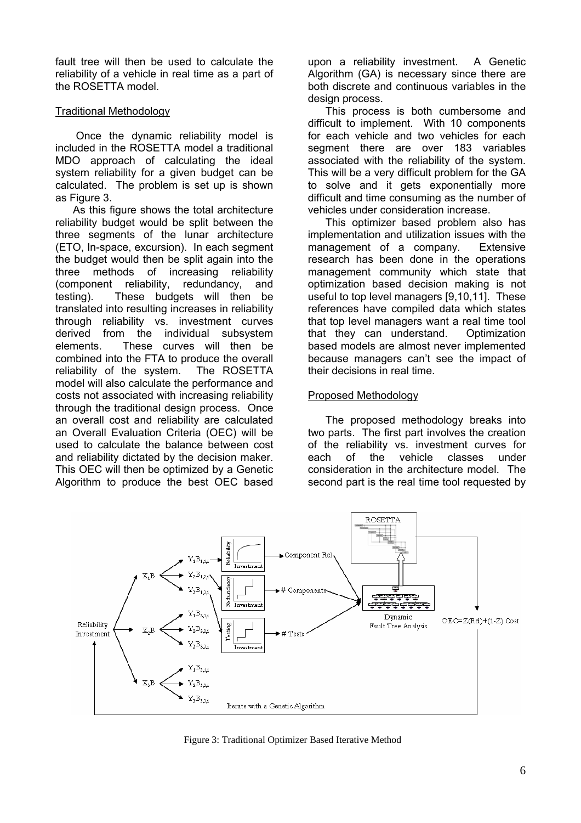fault tree will then be used to calculate the reliability of a vehicle in real time as a part of the ROSETTA model.

## Traditional Methodology

Once the dynamic reliability model is included in the ROSETTA model a traditional MDO approach of calculating the ideal system reliability for a given budget can be calculated. The problem is set up is shown as [Figure 3.](#page-7-0)

As this figure shows the total architecture reliability budget would be split between the three segments of the lunar architecture (ETO, In-space, excursion). In each segment the budget would then be split again into the three methods of increasing reliability (component reliability, redundancy, and testing). These budgets will then be translated into resulting increases in reliability through reliability vs. investment curves derived from the individual subsystem elements. These curves will then be combined into the FTA to produce the overall reliability of the system. The ROSETTA model will also calculate the performance and costs not associated with increasing reliability through the traditional design process. Once an overall cost and reliability are calculated an Overall Evaluation Criteria (OEC) will be used to calculate the balance between cost and reliability dictated by the decision maker. This OEC will then be optimized by a Genetic Algorithm to produce the best OEC based

upon a reliability investment. A Genetic Algorithm (GA) is necessary since there are both discrete and continuous variables in the design process.

This process is both cumbersome and difficult to implement. With 10 components for each vehicle and two vehicles for each segment there are over 183 variables associated with the reliability of the system. This will be a very difficult problem for the GA to solve and it gets exponentially more difficult and time consuming as the number of vehicles under consideration increase.

This optimizer based problem also has implementation and utilization issues with the management of a company. Extensive research has been done in the operations management community which state that optimization based decision making is not useful to top level managers [\[9,](#page-9-8)[10,](#page-9-9)[11\]](#page-9-10). These references have compiled data which states that top level managers want a real time tool that they can understand. Optimization based models are almost never implemented because managers can't see the impact of their decisions in real time.

### Proposed Methodology

The proposed methodology breaks into two parts. The first part involves the creation of the reliability vs. investment curves for each of the vehicle classes under consideration in the architecture model. The second part is the real time tool requested by



Figure 3: Traditional Optimizer Based Iterative Method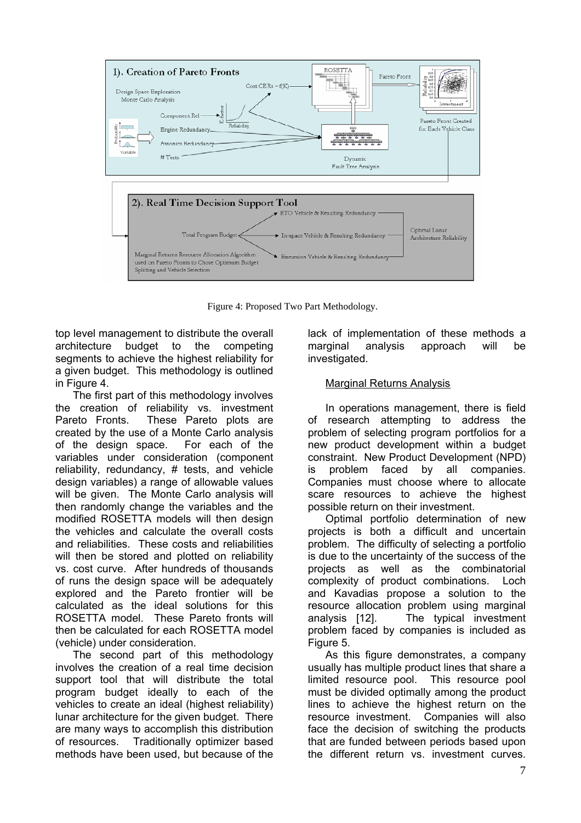

Figure 4: Proposed Two Part Methodology.

top level management to distribute the overall architecture budget to the competing segments to achieve the highest reliability for a given budget. This methodology is outlined in [Figure 4.](#page-7-0)

The first part of this methodology involves the creation of reliability vs. investment Pareto Fronts. These Pareto plots are created by the use of a Monte Carlo analysis of the design space. For each of the variables under consideration (component reliability, redundancy, # tests, and vehicle design variables) a range of allowable values will be given. The Monte Carlo analysis will then randomly change the variables and the modified ROSETTA models will then design the vehicles and calculate the overall costs and reliabilities. These costs and reliabilities will then be stored and plotted on reliability vs. cost curve. After hundreds of thousands of runs the design space will be adequately explored and the Pareto frontier will be calculated as the ideal solutions for this ROSETTA model. These Pareto fronts will then be calculated for each ROSETTA model (vehicle) under consideration.

The second part of this methodology involves the creation of a real time decision support tool that will distribute the total program budget ideally to each of the vehicles to create an ideal (highest reliability) lunar architecture for the given budget. There are many ways to accomplish this distribution of resources. Traditionally optimizer based methods have been used, but because of the

lack of implementation of these methods a marginal analysis approach will be investigated.

## Marginal Returns Analysis

In operations management, there is field of research attempting to address the problem of selecting program portfolios for a new product development within a budget constraint. New Product Development (NPD) is problem faced by all companies. Companies must choose where to allocate scare resources to achieve the highest possible return on their investment.

Optimal portfolio determination of new projects is both a difficult and uncertain problem. The difficulty of selecting a portfolio is due to the uncertainty of the success of the projects as well as the combinatorial complexity of product combinations. Loch and Kavadias propose a solution to the resource allocation problem using marginal analysis [[12\]](#page-9-11). The typical investment problem faced by companies is included as [Figure 5.](#page-7-0)

<span id="page-6-0"></span>As this figure demonstrates, a company usually has multiple product lines that share a limited resource pool. This resource pool must be divided optimally among the product lines to achieve the highest return on the resource investment. Companies will also face the decision of switching the products that are funded between periods based upon the different return vs. investment curves.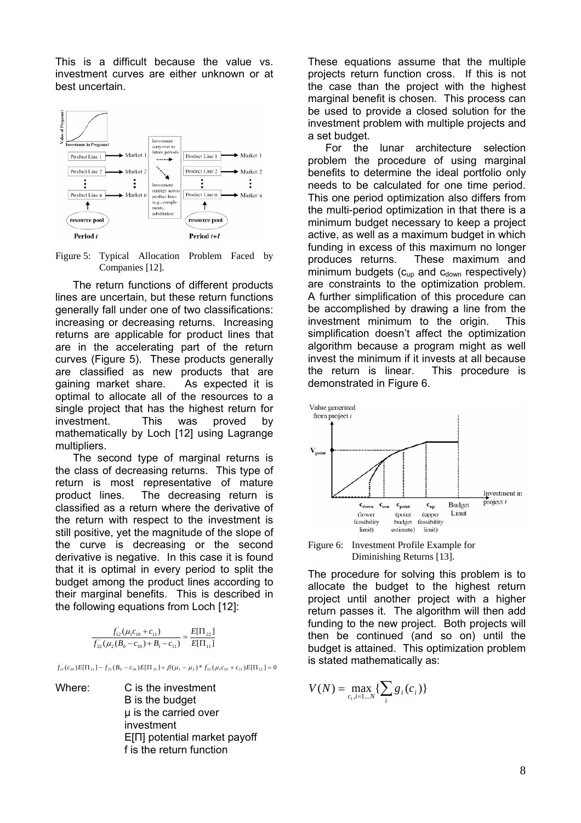This is a difficult because the value vs. investment curves are either unknown or at best uncertain.

<span id="page-7-0"></span>

Figure 5: Typical Allocation Problem Faced by Companies [\[12\]](#page-6-0).

The return functions of different products lines are uncertain, but these return functions generally fall under one of two classifications: increasing or decreasing returns. Increasing returns are applicable for product lines that are in the accelerating part of the return curves ([Figure 5\)](#page-7-0). These products generally are classified as new products that are gaining market share. As expected it is optimal to allocate all of the resources to a single project that has the highest return for investment. This was proved by mathematically by Loch [\[12\]](#page-6-0) using Lagrange multipliers.

The second type of marginal returns is the class of decreasing returns. This type of return is most representative of mature product lines. The decreasing return is classified as a return where the derivative of the return with respect to the investment is still positive, yet the magnitude of the slope of the curve is decreasing or the second derivative is negative. In this case it is found that it is optimal in every period to split the budget among the product lines according to their marginal benefits. This is described in the following equations from Loch [[12\]](#page-6-0):

| $f_{12}(\mu_1 c_{10} + c_{11})$                            | $E[\Pi_{22}]$ |  |
|------------------------------------------------------------|---------------|--|
| $f_{22}(\mu_2(B_0 - c_{10}) + B_1 - c_{11})$ $E[\Pi_{11}]$ |               |  |

 $f_{11}(c_{10})E[\Pi_{11}] - f_{21}(B_0 - c_{10})E[\Pi_{21}] + \beta(\mu_1 - \mu_2)^* f_{12}(\mu_1 c_{10} + c_{11})E[\Pi_{12}] = 0$ 

Where: C is the investment B is the budget µ is the carried over investment E[Π] potential market payoff f is the return function

These equations assume that the multiple projects return function cross. If this is not the case than the project with the highest marginal benefit is chosen. This process can be used to provide a closed solution for the investment problem with multiple projects and a set budget.

For the lunar architecture selection problem the procedure of using marginal benefits to determine the ideal portfolio only needs to be calculated for one time period. This one period optimization also differs from the multi-period optimization in that there is a minimum budget necessary to keep a project active, as well as a maximum budget in which funding in excess of this maximum no longer produces returns. These maximum and minimum budgets ( $c_{up}$  and  $c_{down}$  respectively) are constraints to the optimization problem. A further simplification of this procedure can be accomplished by drawing a line from the investment minimum to the origin. This simplification doesn't affect the optimization algorithm because a program might as well invest the minimum if it invests at all because the return is linear. This procedure is demonstrated in [Figure 6.](#page-7-1)

<span id="page-7-1"></span>

Figure 6: Investment Profile Example for Diminishing Returns [\[13\]](#page-9-12).

The procedure for solving this problem is to allocate the budget to the highest return project until another project with a higher return passes it. The algorithm will then add funding to the new project. Both projects will then be continued (and so on) until the budget is attained. This optimization problem is stated mathematically as:

$$
V(N) = \max_{c_i, i=1...N} \{ \sum_i g_i(c_i) \}
$$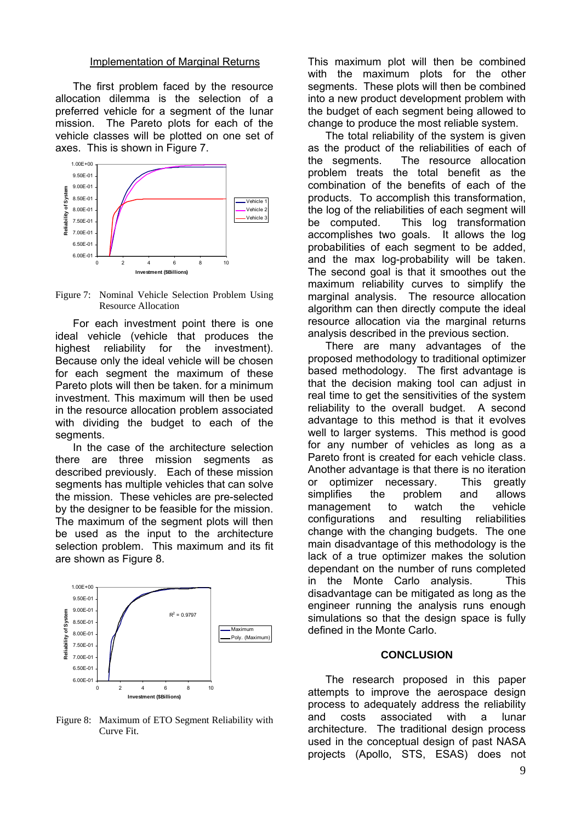#### Implementation of Marginal Returns

The first problem faced by the resource allocation dilemma is the selection of a preferred vehicle for a segment of the lunar mission. The Pareto plots for each of the vehicle classes will be plotted on one set of axes. This is shown in [Figure 7.](#page-8-0)

<span id="page-8-0"></span>

Figure 7: Nominal Vehicle Selection Problem Using Resource Allocation

For each investment point there is one ideal vehicle (vehicle that produces the highest reliability for the investment). Because only the ideal vehicle will be chosen for each segment the maximum of these Pareto plots will then be taken. for a minimum investment. This maximum will then be used in the resource allocation problem associated with dividing the budget to each of the segments.

In the case of the architecture selection there are three mission segments as described previously. Each of these mission segments has multiple vehicles that can solve the mission. These vehicles are pre-selected by the designer to be feasible for the mission. The maximum of the segment plots will then be used as the input to the architecture selection problem. This maximum and its fit are shown as [Figure 8.](#page-8-1)

<span id="page-8-1"></span>

Figure 8: Maximum of ETO Segment Reliability with Curve Fit.

This maximum plot will then be combined with the maximum plots for the other segments. These plots will then be combined into a new product development problem with the budget of each segment being allowed to change to produce the most reliable system.

The total reliability of the system is given as the product of the reliabilities of each of the segments. The resource allocation problem treats the total benefit as the combination of the benefits of each of the products. To accomplish this transformation, the log of the reliabilities of each segment will be computed. This log transformation accomplishes two goals. It allows the log probabilities of each segment to be added, and the max log-probability will be taken. The second goal is that it smoothes out the maximum reliability curves to simplify the marginal analysis. The resource allocation algorithm can then directly compute the ideal resource allocation via the marginal returns analysis described in the previous section.

There are many advantages of the proposed methodology to traditional optimizer based methodology. The first advantage is that the decision making tool can adjust in real time to get the sensitivities of the system reliability to the overall budget. A second advantage to this method is that it evolves well to larger systems. This method is good for any number of vehicles as long as a Pareto front is created for each vehicle class. Another advantage is that there is no iteration or optimizer necessary. This greatly simplifies the problem and allows management to watch the vehicle configurations and resulting reliabilities change with the changing budgets. The one main disadvantage of this methodology is the lack of a true optimizer makes the solution dependant on the number of runs completed in the Monte Carlo analysis. This disadvantage can be mitigated as long as the engineer running the analysis runs enough simulations so that the design space is fully defined in the Monte Carlo.

#### **CONCLUSION**

The research proposed in this paper attempts to improve the aerospace design process to adequately address the reliability and costs associated with a lunar architecture. The traditional design process used in the conceptual design of past NASA projects (Apollo, STS, ESAS) does not